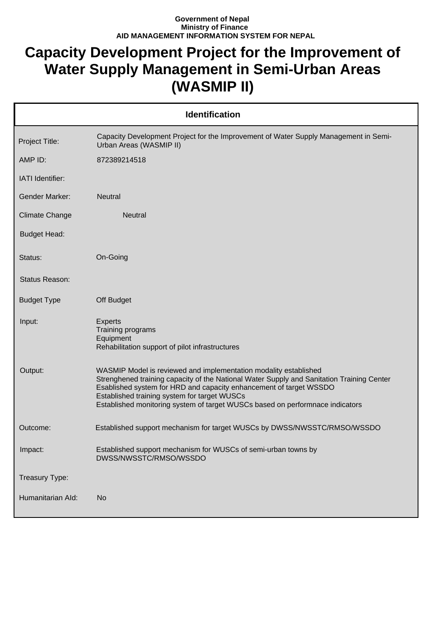## **Government of Nepal Ministry of Finance AID MANAGEMENT INFORMATION SYSTEM FOR NEPAL**

## **Capacity Development Project for the Improvement of Water Supply Management in Semi-Urban Areas (WASMIP II)**

| <b>Identification</b> |                                                                                                                                                                                                                                                                                                                                                                      |  |
|-----------------------|----------------------------------------------------------------------------------------------------------------------------------------------------------------------------------------------------------------------------------------------------------------------------------------------------------------------------------------------------------------------|--|
| Project Title:        | Capacity Development Project for the Improvement of Water Supply Management in Semi-<br>Urban Areas (WASMIP II)                                                                                                                                                                                                                                                      |  |
| AMP ID:               | 872389214518                                                                                                                                                                                                                                                                                                                                                         |  |
| IATI Identifier:      |                                                                                                                                                                                                                                                                                                                                                                      |  |
| <b>Gender Marker:</b> | Neutral                                                                                                                                                                                                                                                                                                                                                              |  |
| <b>Climate Change</b> | <b>Neutral</b>                                                                                                                                                                                                                                                                                                                                                       |  |
| <b>Budget Head:</b>   |                                                                                                                                                                                                                                                                                                                                                                      |  |
| Status:               | On-Going                                                                                                                                                                                                                                                                                                                                                             |  |
| <b>Status Reason:</b> |                                                                                                                                                                                                                                                                                                                                                                      |  |
| <b>Budget Type</b>    | Off Budget                                                                                                                                                                                                                                                                                                                                                           |  |
| Input:                | <b>Experts</b><br>Training programs<br>Equipment<br>Rehabilitation support of pilot infrastructures                                                                                                                                                                                                                                                                  |  |
| Output:               | WASMIP Model is reviewed and implementation modality established<br>Strenghened training capacity of the National Water Supply and Sanitation Training Center<br>Esablished system for HRD and capacity enhancement of target WSSDO<br>Established training system for target WUSCs<br>Established monitoring system of target WUSCs based on performnace indicators |  |
| Outcome:              | Established support mechanism for target WUSCs by DWSS/NWSSTC/RMSO/WSSDO                                                                                                                                                                                                                                                                                             |  |
| Impact:               | Established support mechanism for WUSCs of semi-urban towns by<br>DWSS/NWSSTC/RMSO/WSSDO                                                                                                                                                                                                                                                                             |  |
| Treasury Type:        |                                                                                                                                                                                                                                                                                                                                                                      |  |
| Humanitarian Ald:     | <b>No</b>                                                                                                                                                                                                                                                                                                                                                            |  |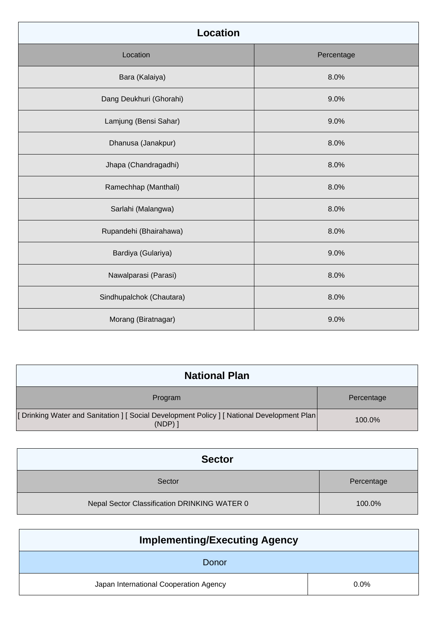| <b>Location</b>          |            |
|--------------------------|------------|
| Location                 | Percentage |
| Bara (Kalaiya)           | 8.0%       |
| Dang Deukhuri (Ghorahi)  | 9.0%       |
| Lamjung (Bensi Sahar)    | 9.0%       |
| Dhanusa (Janakpur)       | 8.0%       |
| Jhapa (Chandragadhi)     | 8.0%       |
| Ramechhap (Manthali)     | 8.0%       |
| Sarlahi (Malangwa)       | 8.0%       |
| Rupandehi (Bhairahawa)   | 8.0%       |
| Bardiya (Gulariya)       | 9.0%       |
| Nawalparasi (Parasi)     | 8.0%       |
| Sindhupalchok (Chautara) | 8.0%       |
| Morang (Biratnagar)      | 9.0%       |

| <b>National Plan</b>                                                                                |            |
|-----------------------------------------------------------------------------------------------------|------------|
| Program                                                                                             | Percentage |
| [Drinking Water and Sanitation ] [Social Development Policy ] [National Development Plan  <br>(NDP) | 100.0%     |

| <b>Sector</b>                                |            |
|----------------------------------------------|------------|
| Sector                                       | Percentage |
| Nepal Sector Classification DRINKING WATER 0 | 100.0%     |

| <b>Implementing/Executing Agency</b>   |         |  |
|----------------------------------------|---------|--|
| Donor                                  |         |  |
| Japan International Cooperation Agency | $0.0\%$ |  |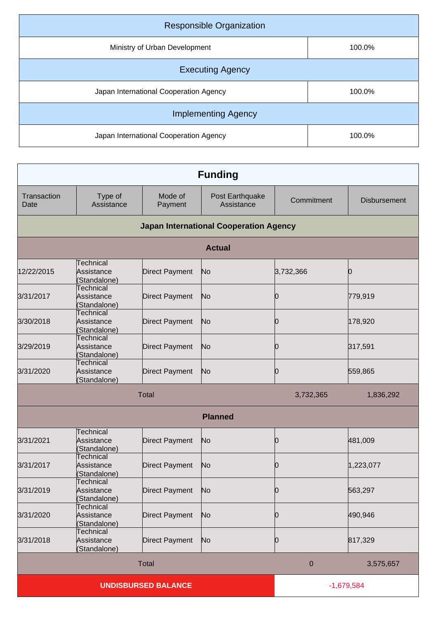| <b>Responsible Organization</b>        |        |  |
|----------------------------------------|--------|--|
| Ministry of Urban Development          | 100.0% |  |
| <b>Executing Agency</b>                |        |  |
| Japan International Cooperation Agency | 100.0% |  |
| <b>Implementing Agency</b>             |        |  |
| Japan International Cooperation Agency | 100.0% |  |

| <b>Funding</b>      |                                                |                            |                                               |              |                     |
|---------------------|------------------------------------------------|----------------------------|-----------------------------------------------|--------------|---------------------|
| Transaction<br>Date | Type of<br>Assistance                          | Mode of<br>Payment         | Post Earthquake<br>Assistance                 | Commitment   | <b>Disbursement</b> |
|                     |                                                |                            | <b>Japan International Cooperation Agency</b> |              |                     |
|                     |                                                |                            | <b>Actual</b>                                 |              |                     |
| 12/22/2015          | Technical<br>Assistance<br>(Standalone)        | <b>Direct Payment</b>      | No                                            | 3,732,366    | 0                   |
| 3/31/2017           | <b>Technical</b><br>Assistance<br>(Standalone) | <b>Direct Payment</b>      | No                                            | 0            | 779,919             |
| 3/30/2018           | <b>Technical</b><br>Assistance<br>(Standalone) | <b>Direct Payment</b>      | No                                            | 0            | 178,920             |
| 3/29/2019           | Technical<br>Assistance<br>(Standalone)        | <b>Direct Payment</b>      | No                                            | 0            | 317,591             |
| 3/31/2020           | <b>Technical</b><br>Assistance<br>(Standalone) | <b>Direct Payment</b>      | No                                            | 0            | 559,865             |
|                     | <b>Total</b>                                   |                            |                                               | 3,732,365    | 1,836,292           |
|                     |                                                |                            | <b>Planned</b>                                |              |                     |
| 3/31/2021           | Technical<br>Assistance<br>(Standalone)        | <b>Direct Payment</b>      | No                                            | 0            | 481,009             |
| 3/31/2017           | Technical<br>Assistance<br>(Standalone)        | <b>Direct Payment</b>      | No                                            | 10           | 1,223,077           |
| 3/31/2019           | <b>Technical</b><br>Assistance<br>(Standalone) | <b>Direct Payment</b>      | No                                            | 0            | 563,297             |
| 3/31/2020           | <b>Technical</b><br>Assistance<br>(Standalone) | <b>Direct Payment</b>      | No                                            | 0            | 490,946             |
| 3/31/2018           | Technical<br>Assistance<br>(Standalone)        | <b>Direct Payment</b>      | No                                            | 0            | 817,329             |
|                     | <b>Total</b><br>$\mathbf 0$<br>3,575,657       |                            |                                               |              |                     |
|                     |                                                | <b>UNDISBURSED BALANCE</b> |                                               | $-1,679,584$ |                     |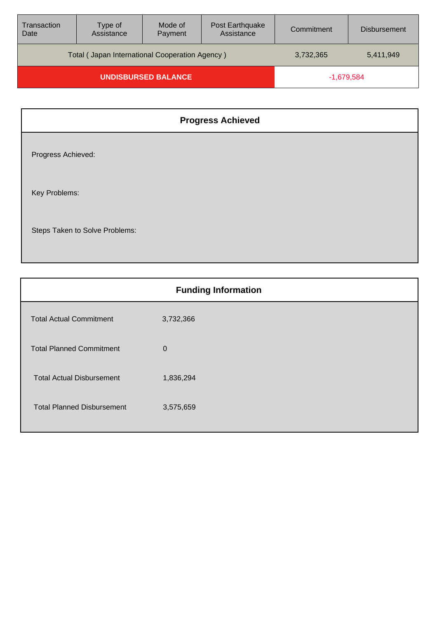| <b>Transaction</b><br>Date | Type of<br>Assistance                          | Mode of<br>Payment | Post Earthquake<br>Assistance | Commitment | <b>Disbursement</b> |
|----------------------------|------------------------------------------------|--------------------|-------------------------------|------------|---------------------|
|                            | Total (Japan International Cooperation Agency) |                    |                               | 3,732,365  | 5,411,949           |
| <b>UNDISBURSED BALANCE</b> |                                                |                    | $-1,679,584$                  |            |                     |

|                                | <b>Progress Achieved</b> |
|--------------------------------|--------------------------|
| Progress Achieved:             |                          |
| Key Problems:                  |                          |
| Steps Taken to Solve Problems: |                          |

| <b>Funding Information</b>        |           |
|-----------------------------------|-----------|
| <b>Total Actual Commitment</b>    | 3,732,366 |
| <b>Total Planned Commitment</b>   | $\Omega$  |
| <b>Total Actual Disbursement</b>  | 1,836,294 |
| <b>Total Planned Disbursement</b> | 3,575,659 |